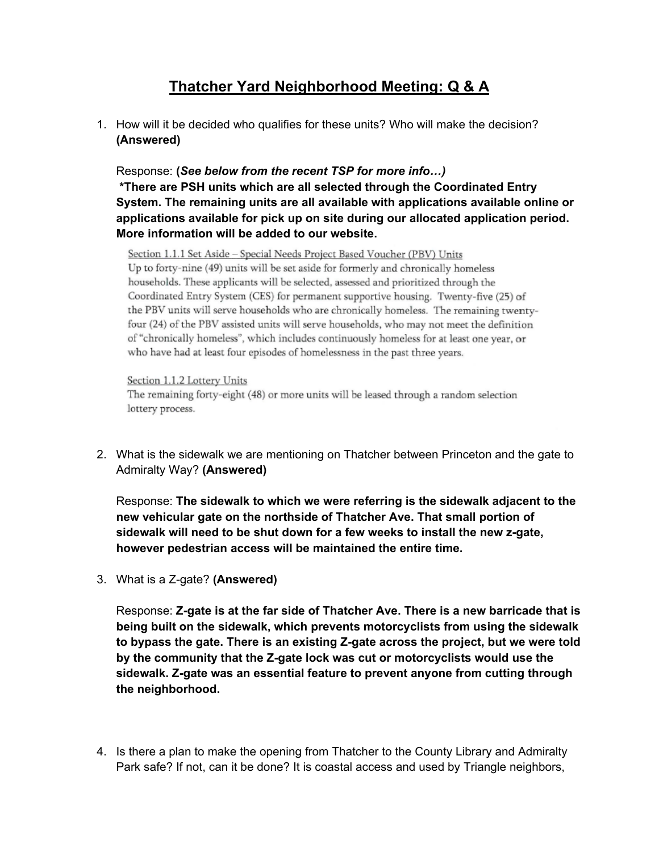## **Thatcher Yard Neighborhood Meeting: Q & A**

1. How will it be decided who qualifies for these units? Who will make the decision? **(Answered)**

Response: **(***See below from the recent TSP for more info…)* **\*There are PSH units which are all selected through the Coordinated Entry System. The remaining units are all available with applications available online or applications available for pick up on site during our allocated application period. More information will be added to our website.** 

Section 1.1.1 Set Aside - Special Needs Project Based Voucher (PBV) Units Up to forty-nine (49) units will be set aside for formerly and chronically homeless households. These applicants will be selected, assessed and prioritized through the Coordinated Entry System (CES) for permanent supportive housing. Twenty-five (25) of the PBV units will serve households who are chronically homeless. The remaining twentyfour (24) of the PBV assisted units will serve households, who may not meet the definition of "chronically homeless", which includes continuously homeless for at least one year, or who have had at least four episodes of homelessness in the past three years.

Section 1.1.2 Lottery Units The remaining forty-eight (48) or more units will be leased through a random selection lottery process.

2. What is the sidewalk we are mentioning on Thatcher between Princeton and the gate to Admiralty Way? **(Answered)**

Response: **The sidewalk to which we were referring is the sidewalk adjacent to the new vehicular gate on the northside of Thatcher Ave. That small portion of sidewalk will need to be shut down for a few weeks to install the new z-gate, however pedestrian access will be maintained the entire time.**

3. What is a Z-gate? **(Answered)**

Response: **Z-gate is at the far side of Thatcher Ave. There is a new barricade that is being built on the sidewalk, which prevents motorcyclists from using the sidewalk to bypass the gate. There is an existing Z-gate across the project, but we were told by the community that the Z-gate lock was cut or motorcyclists would use the sidewalk. Z-gate was an essential feature to prevent anyone from cutting through the neighborhood.** 

4. Is there a plan to make the opening from Thatcher to the County Library and Admiralty Park safe? If not, can it be done? It is coastal access and used by Triangle neighbors,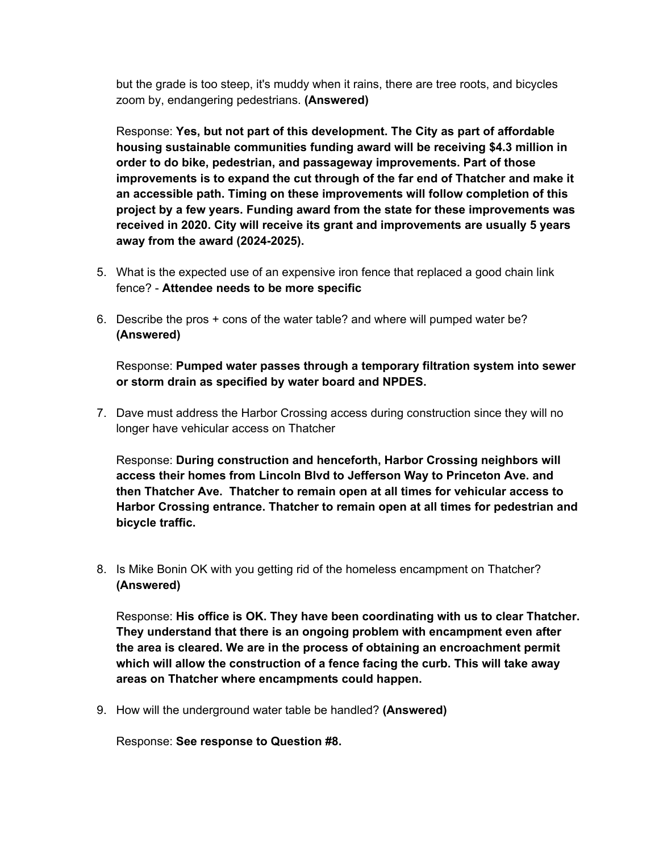but the grade is too steep, it's muddy when it rains, there are tree roots, and bicycles zoom by, endangering pedestrians. **(Answered)**

Response: **Yes, but not part of this development. The City as part of affordable housing sustainable communities funding award will be receiving \$4.3 million in order to do bike, pedestrian, and passageway improvements. Part of those improvements is to expand the cut through of the far end of Thatcher and make it an accessible path. Timing on these improvements will follow completion of this project by a few years. Funding award from the state for these improvements was received in 2020. City will receive its grant and improvements are usually 5 years away from the award (2024-2025).** 

- 5. What is the expected use of an expensive iron fence that replaced a good chain link fence? - **Attendee needs to be more specific**
- 6. Describe the pros + cons of the water table? and where will pumped water be? **(Answered)**

Response: **Pumped water passes through a temporary filtration system into sewer or storm drain as specified by water board and NPDES.**

7. Dave must address the Harbor Crossing access during construction since they will no longer have vehicular access on Thatcher

Response: **During construction and henceforth, Harbor Crossing neighbors will access their homes from Lincoln Blvd to Jefferson Way to Princeton Ave. and then Thatcher Ave. Thatcher to remain open at all times for vehicular access to Harbor Crossing entrance. Thatcher to remain open at all times for pedestrian and bicycle traffic.**

8. Is Mike Bonin OK with you getting rid of the homeless encampment on Thatcher? **(Answered)**

Response: **His office is OK. They have been coordinating with us to clear Thatcher. They understand that there is an ongoing problem with encampment even after the area is cleared. We are in the process of obtaining an encroachment permit which will allow the construction of a fence facing the curb. This will take away areas on Thatcher where encampments could happen.** 

9. How will the underground water table be handled? **(Answered)**

Response: **See response to Question #8.**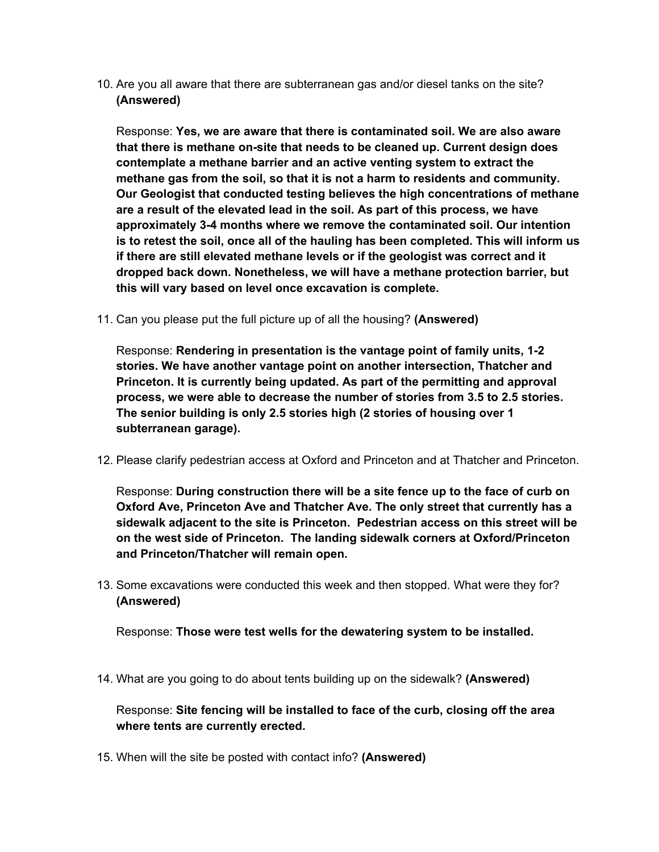10. Are you all aware that there are subterranean gas and/or diesel tanks on the site? **(Answered)**

Response: **Yes, we are aware that there is contaminated soil. We are also aware that there is methane on-site that needs to be cleaned up. Current design does contemplate a methane barrier and an active venting system to extract the methane gas from the soil, so that it is not a harm to residents and community. Our Geologist that conducted testing believes the high concentrations of methane are a result of the elevated lead in the soil. As part of this process, we have approximately 3-4 months where we remove the contaminated soil. Our intention is to retest the soil, once all of the hauling has been completed. This will inform us if there are still elevated methane levels or if the geologist was correct and it dropped back down. Nonetheless, we will have a methane protection barrier, but this will vary based on level once excavation is complete.** 

11. Can you please put the full picture up of all the housing? **(Answered)**

Response: **Rendering in presentation is the vantage point of family units, 1-2 stories. We have another vantage point on another intersection, Thatcher and Princeton. It is currently being updated. As part of the permitting and approval process, we were able to decrease the number of stories from 3.5 to 2.5 stories. The senior building is only 2.5 stories high (2 stories of housing over 1 subterranean garage).** 

12. Please clarify pedestrian access at Oxford and Princeton and at Thatcher and Princeton.

Response: **During construction there will be a site fence up to the face of curb on Oxford Ave, Princeton Ave and Thatcher Ave. The only street that currently has a sidewalk adjacent to the site is Princeton. Pedestrian access on this street will be on the west side of Princeton. The landing sidewalk corners at Oxford/Princeton and Princeton/Thatcher will remain open.**

13. Some excavations were conducted this week and then stopped. What were they for? **(Answered)**

Response: **Those were test wells for the dewatering system to be installed.**

14. What are you going to do about tents building up on the sidewalk? **(Answered)**

Response: **Site fencing will be installed to face of the curb, closing off the area where tents are currently erected.**

15. When will the site be posted with contact info? **(Answered)**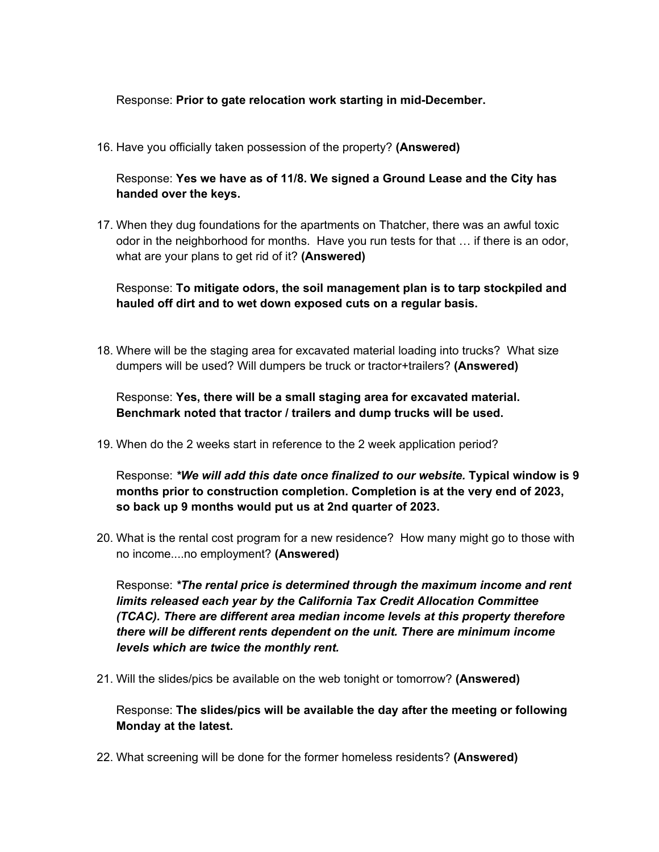## Response: **Prior to gate relocation work starting in mid-December.**

16. Have you officially taken possession of the property? **(Answered)**

Response: **Yes we have as of 11/8. We signed a Ground Lease and the City has handed over the keys.** 

17. When they dug foundations for the apartments on Thatcher, there was an awful toxic odor in the neighborhood for months. Have you run tests for that … if there is an odor, what are your plans to get rid of it? **(Answered)**

Response: **To mitigate odors, the soil management plan is to tarp stockpiled and hauled off dirt and to wet down exposed cuts on a regular basis.** 

18. Where will be the staging area for excavated material loading into trucks? What size dumpers will be used? Will dumpers be truck or tractor+trailers? **(Answered)**

Response: **Yes, there will be a small staging area for excavated material. Benchmark noted that tractor / trailers and dump trucks will be used.**

19. When do the 2 weeks start in reference to the 2 week application period?

Response: *\*We will add this date once finalized to our website.* **Typical window is 9 months prior to construction completion. Completion is at the very end of 2023, so back up 9 months would put us at 2nd quarter of 2023.** 

20. What is the rental cost program for a new residence? How many might go to those with no income....no employment? **(Answered)**

Response: *\*The rental price is determined through the maximum income and rent limits released each year by the California Tax Credit Allocation Committee (TCAC). There are different area median income levels at this property therefore there will be different rents dependent on the unit. There are minimum income levels which are twice the monthly rent.* 

21. Will the slides/pics be available on the web tonight or tomorrow? **(Answered)**

Response: **The slides/pics will be available the day after the meeting or following Monday at the latest.** 

22. What screening will be done for the former homeless residents? **(Answered)**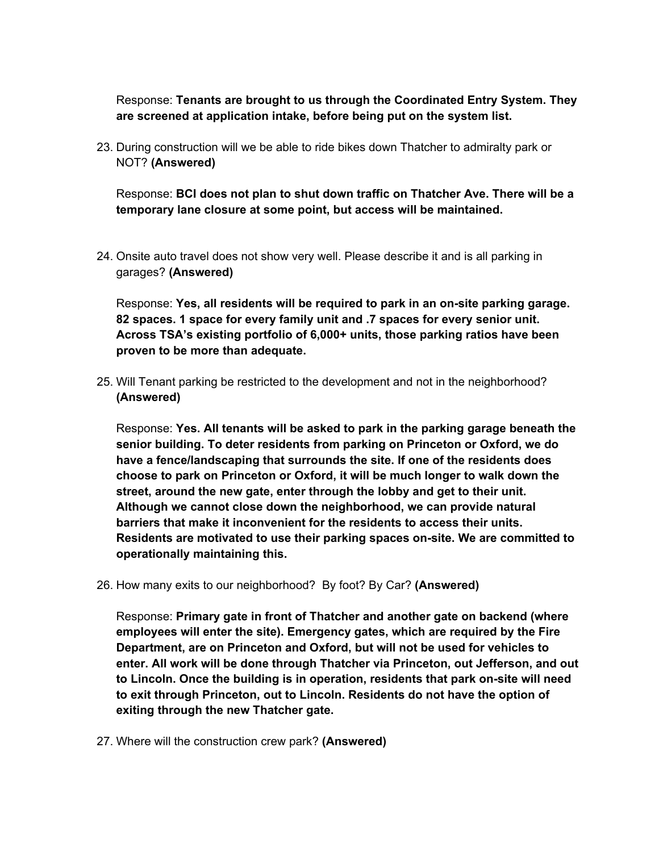Response: **Tenants are brought to us through the Coordinated Entry System. They are screened at application intake, before being put on the system list.** 

23. During construction will we be able to ride bikes down Thatcher to admiralty park or NOT? **(Answered)**

Response: **BCI does not plan to shut down traffic on Thatcher Ave. There will be a temporary lane closure at some point, but access will be maintained.**

24. Onsite auto travel does not show very well. Please describe it and is all parking in garages? **(Answered)**

Response: **Yes, all residents will be required to park in an on-site parking garage. 82 spaces. 1 space for every family unit and .7 spaces for every senior unit. Across TSA's existing portfolio of 6,000+ units, those parking ratios have been proven to be more than adequate.** 

25. Will Tenant parking be restricted to the development and not in the neighborhood? **(Answered)**

Response: **Yes. All tenants will be asked to park in the parking garage beneath the senior building. To deter residents from parking on Princeton or Oxford, we do have a fence/landscaping that surrounds the site. If one of the residents does choose to park on Princeton or Oxford, it will be much longer to walk down the street, around the new gate, enter through the lobby and get to their unit. Although we cannot close down the neighborhood, we can provide natural barriers that make it inconvenient for the residents to access their units. Residents are motivated to use their parking spaces on-site. We are committed to operationally maintaining this.** 

26. How many exits to our neighborhood? By foot? By Car? **(Answered)**

Response: **Primary gate in front of Thatcher and another gate on backend (where employees will enter the site). Emergency gates, which are required by the Fire Department, are on Princeton and Oxford, but will not be used for vehicles to enter. All work will be done through Thatcher via Princeton, out Jefferson, and out to Lincoln. Once the building is in operation, residents that park on-site will need to exit through Princeton, out to Lincoln. Residents do not have the option of exiting through the new Thatcher gate.** 

27. Where will the construction crew park? **(Answered)**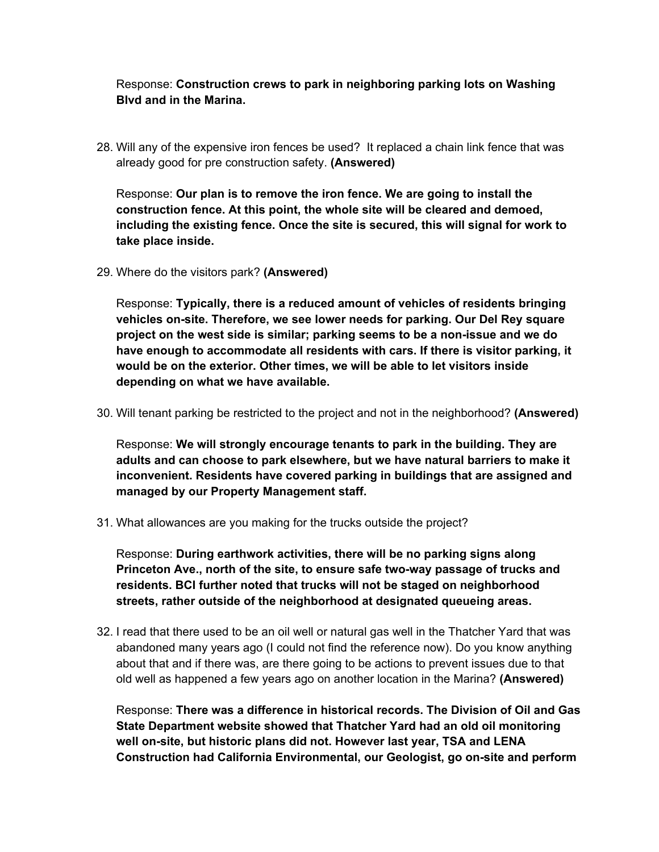Response: **Construction crews to park in neighboring parking lots on Washing Blvd and in the Marina.**

28. Will any of the expensive iron fences be used? It replaced a chain link fence that was already good for pre construction safety. **(Answered)** 

Response: **Our plan is to remove the iron fence. We are going to install the construction fence. At this point, the whole site will be cleared and demoed, including the existing fence. Once the site is secured, this will signal for work to take place inside.** 

29. Where do the visitors park? **(Answered)**

Response: **Typically, there is a reduced amount of vehicles of residents bringing vehicles on-site. Therefore, we see lower needs for parking. Our Del Rey square project on the west side is similar; parking seems to be a non-issue and we do have enough to accommodate all residents with cars. If there is visitor parking, it would be on the exterior. Other times, we will be able to let visitors inside depending on what we have available.** 

30. Will tenant parking be restricted to the project and not in the neighborhood? **(Answered)**

Response: **We will strongly encourage tenants to park in the building. They are adults and can choose to park elsewhere, but we have natural barriers to make it inconvenient. Residents have covered parking in buildings that are assigned and managed by our Property Management staff.** 

31. What allowances are you making for the trucks outside the project?

Response: **During earthwork activities, there will be no parking signs along Princeton Ave., north of the site, to ensure safe two-way passage of trucks and residents. BCI further noted that trucks will not be staged on neighborhood streets, rather outside of the neighborhood at designated queueing areas.**

32. I read that there used to be an oil well or natural gas well in the Thatcher Yard that was abandoned many years ago (I could not find the reference now). Do you know anything about that and if there was, are there going to be actions to prevent issues due to that old well as happened a few years ago on another location in the Marina? **(Answered)**

Response: **There was a difference in historical records. The Division of Oil and Gas State Department website showed that Thatcher Yard had an old oil monitoring well on-site, but historic plans did not. However last year, TSA and LENA Construction had California Environmental, our Geologist, go on-site and perform**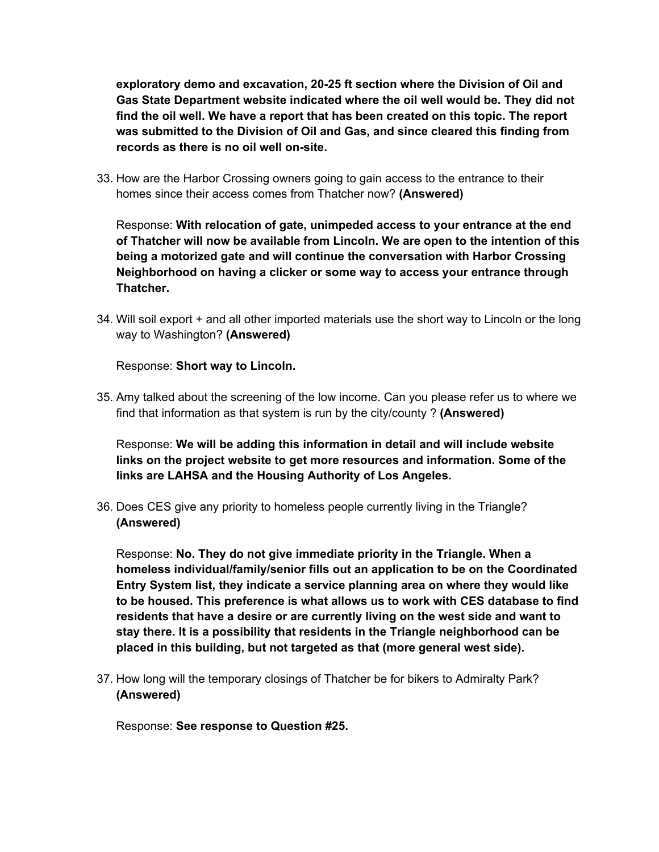**exploratory demo and excavation, 20-25 ft section where the Division of Oil and Gas State Department website indicated where the oil well would be. They did not find the oil well. We have a report that has been created on this topic. The report was submitted to the Division of Oil and Gas, and since cleared this finding from records as there is no oil well on-site.** 

33. How are the Harbor Crossing owners going to gain access to the entrance to their homes since their access comes from Thatcher now? **(Answered)**

Response: **With relocation of gate, unimpeded access to your entrance at the end of Thatcher will now be available from Lincoln. We are open to the intention of this being a motorized gate and will continue the conversation with Harbor Crossing Neighborhood on having a clicker or some way to access your entrance through Thatcher.** 

34. Will soil export + and all other imported materials use the short way to Lincoln or the long way to Washington? **(Answered)**

Response: **Short way to Lincoln.** 

35. Amy talked about the screening of the low income. Can you please refer us to where we find that information as that system is run by the city/county ? **(Answered)**

Response: **We will be adding this information in detail and will include website links on the project website to get more resources and information. Some of the links are LAHSA and the Housing Authority of Los Angeles.** 

36. Does CES give any priority to homeless people currently living in the Triangle? **(Answered)**

Response: **No. They do not give immediate priority in the Triangle. When a homeless individual/family/senior fills out an application to be on the Coordinated Entry System list, they indicate a service planning area on where they would like to be housed. This preference is what allows us to work with CES database to find residents that have a desire or are currently living on the west side and want to stay there. It is a possibility that residents in the Triangle neighborhood can be placed in this building, but not targeted as that (more general west side).** 

37. How long will the temporary closings of Thatcher be for bikers to Admiralty Park? **(Answered)**

Response: **See response to Question #25.**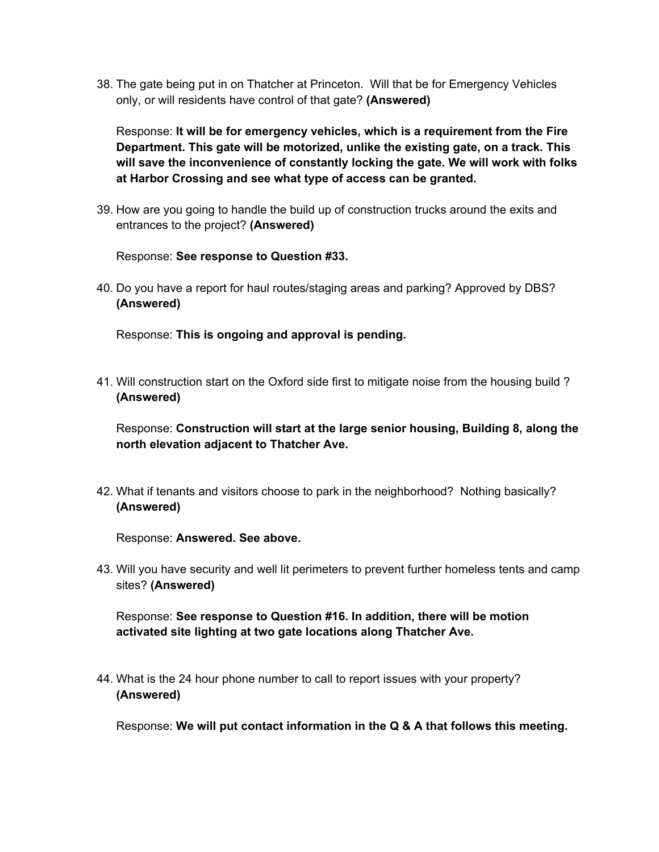38. The gate being put in on Thatcher at Princeton. Will that be for Emergency Vehicles only, or will residents have control of that gate? **(Answered)**

Response: **It will be for emergency vehicles, which is a requirement from the Fire Department. This gate will be motorized, unlike the existing gate, on a track. This will save the inconvenience of constantly locking the gate. We will work with folks at Harbor Crossing and see what type of access can be granted.** 

39. How are you going to handle the build up of construction trucks around the exits and entrances to the project? **(Answered)**

Response: **See response to Question #33.** 

40. Do you have a report for haul routes/staging areas and parking? Approved by DBS? **(Answered)**

Response: **This is ongoing and approval is pending.**

41. Will construction start on the Oxford side first to mitigate noise from the housing build ? **(Answered)**

Response: **Construction will start at the large senior housing, Building 8, along the north elevation adjacent to Thatcher Ave.**

42. What if tenants and visitors choose to park in the neighborhood? Nothing basically? **(Answered)**

Response: **Answered. See above.** 

43. Will you have security and well lit perimeters to prevent further homeless tents and camp sites? **(Answered)**

Response: **See response to Question #16. In addition, there will be motion activated site lighting at two gate locations along Thatcher Ave.**

44. What is the 24 hour phone number to call to report issues with your property? **(Answered)**

Response: **We will put contact information in the Q & A that follows this meeting.**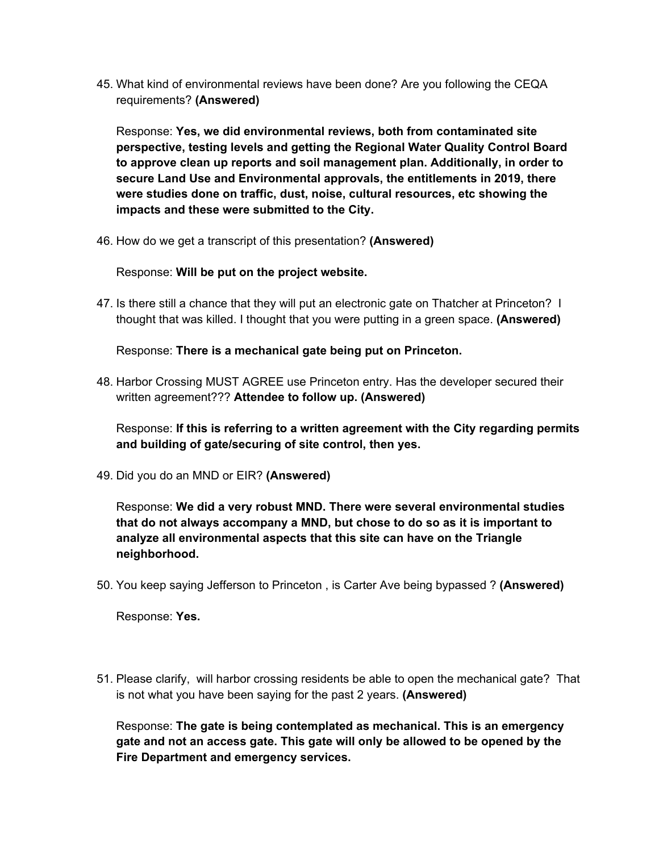45. What kind of environmental reviews have been done? Are you following the CEQA requirements? **(Answered)**

Response: **Yes, we did environmental reviews, both from contaminated site perspective, testing levels and getting the Regional Water Quality Control Board to approve clean up reports and soil management plan. Additionally, in order to secure Land Use and Environmental approvals, the entitlements in 2019, there were studies done on traffic, dust, noise, cultural resources, etc showing the impacts and these were submitted to the City.** 

46. How do we get a transcript of this presentation? **(Answered)**

Response: **Will be put on the project website.** 

47. Is there still a chance that they will put an electronic gate on Thatcher at Princeton? I thought that was killed. I thought that you were putting in a green space. **(Answered)**

Response: **There is a mechanical gate being put on Princeton.** 

48. Harbor Crossing MUST AGREE use Princeton entry. Has the developer secured their written agreement??? **Attendee to follow up. (Answered)**

Response: **If this is referring to a written agreement with the City regarding permits and building of gate/securing of site control, then yes.** 

49. Did you do an MND or EIR? **(Answered)**

Response: **We did a very robust MND. There were several environmental studies that do not always accompany a MND, but chose to do so as it is important to analyze all environmental aspects that this site can have on the Triangle neighborhood.** 

50. You keep saying Jefferson to Princeton , is Carter Ave being bypassed ? **(Answered)**

Response: **Yes.** 

51. Please clarify, will harbor crossing residents be able to open the mechanical gate? That is not what you have been saying for the past 2 years. **(Answered)**

Response: **The gate is being contemplated as mechanical. This is an emergency gate and not an access gate. This gate will only be allowed to be opened by the Fire Department and emergency services.**